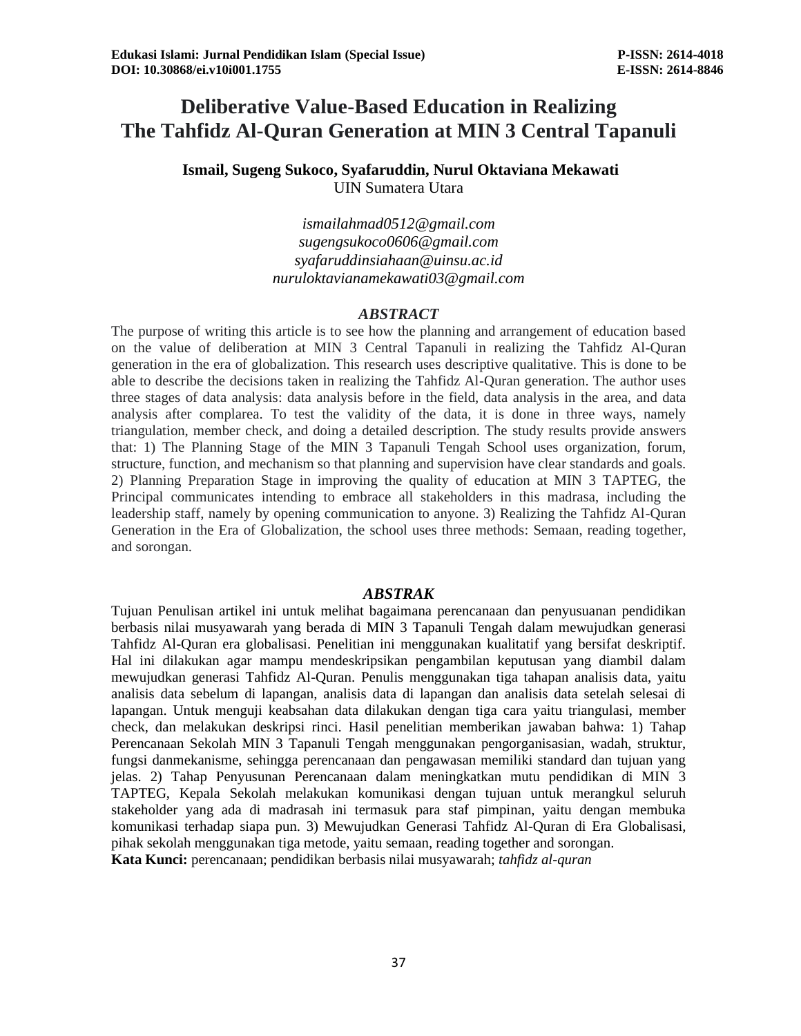# **Deliberative Value-Based Education in Realizing The Tahfidz Al-Quran Generation at MIN 3 Central Tapanuli**

**Ismail, Sugeng Sukoco, Syafaruddin, Nurul Oktaviana Mekawati** UIN Sumatera Utara

> *[ismailahmad0512@gmail.com](mailto:ismailahmad0512@gmail.com) [sugengsukoco0606@gmail.com](mailto:sugengsukoco0606@gmail.com) [syafaruddinsiahaan@uinsu.ac.id](mailto:syafaruddinsiahaan@uinsu.ac.id) nuruloktavianamekawati03@gmail.com*

#### *ABSTRACT*

The purpose of writing this article is to see how the planning and arrangement of education based on the value of deliberation at MIN 3 Central Tapanuli in realizing the Tahfidz Al-Quran generation in the era of globalization. This research uses descriptive qualitative. This is done to be able to describe the decisions taken in realizing the Tahfidz Al-Quran generation. The author uses three stages of data analysis: data analysis before in the field, data analysis in the area, and data analysis after complarea. To test the validity of the data, it is done in three ways, namely triangulation, member check, and doing a detailed description. The study results provide answers that: 1) The Planning Stage of the MIN 3 Tapanuli Tengah School uses organization, forum, structure, function, and mechanism so that planning and supervision have clear standards and goals. 2) Planning Preparation Stage in improving the quality of education at MIN 3 TAPTEG, the Principal communicates intending to embrace all stakeholders in this madrasa, including the leadership staff, namely by opening communication to anyone. 3) Realizing the Tahfidz Al-Quran Generation in the Era of Globalization, the school uses three methods: Semaan, reading together, and sorongan.

#### *ABSTRAK*

Tujuan Penulisan artikel ini untuk melihat bagaimana perencanaan dan penyusuanan pendidikan berbasis nilai musyawarah yang berada di MIN 3 Tapanuli Tengah dalam mewujudkan generasi Tahfidz Al-Quran era globalisasi. Penelitian ini menggunakan kualitatif yang bersifat deskriptif. Hal ini dilakukan agar mampu mendeskripsikan pengambilan keputusan yang diambil dalam mewujudkan generasi Tahfidz Al-Quran. Penulis menggunakan tiga tahapan analisis data, yaitu analisis data sebelum di lapangan, analisis data di lapangan dan analisis data setelah selesai di lapangan. Untuk menguji keabsahan data dilakukan dengan tiga cara yaitu triangulasi, member check, dan melakukan deskripsi rinci. Hasil penelitian memberikan jawaban bahwa: 1) Tahap Perencanaan Sekolah MIN 3 Tapanuli Tengah menggunakan pengorganisasian, wadah, struktur, fungsi danmekanisme, sehingga perencanaan dan pengawasan memiliki standard dan tujuan yang jelas. 2) Tahap Penyusunan Perencanaan dalam meningkatkan mutu pendidikan di MIN 3 TAPTEG, Kepala Sekolah melakukan komunikasi dengan tujuan untuk merangkul seluruh stakeholder yang ada di madrasah ini termasuk para staf pimpinan, yaitu dengan membuka komunikasi terhadap siapa pun. 3) Mewujudkan Generasi Tahfidz Al-Quran di Era Globalisasi, pihak sekolah menggunakan tiga metode, yaitu semaan, reading together and sorongan. **Kata Kunci:** perencanaan; pendidikan berbasis nilai musyawarah; *tahfidz al-quran*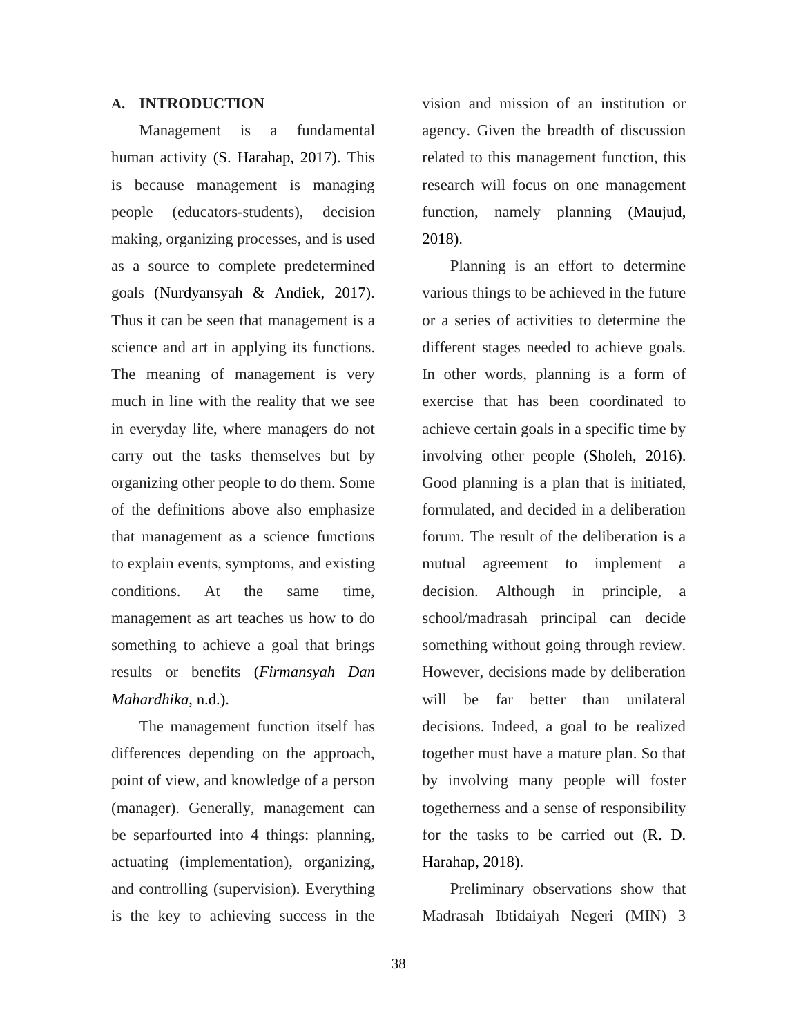#### **A. INTRODUCTION**

Management is a fundamental human activity (S. Harahap, 2017). This is because management is managing people (educators-students), decision making, organizing processes, and is used as a source to complete predetermined goals (Nurdyansyah & Andiek, 2017). Thus it can be seen that management is a science and art in applying its functions. The meaning of management is very much in line with the reality that we see in everyday life, where managers do not carry out the tasks themselves but by organizing other people to do them. Some of the definitions above also emphasize that management as a science functions to explain events, symptoms, and existing conditions. At the same time, management as art teaches us how to do something to achieve a goal that brings results or benefits (*Firmansyah Dan Mahardhika*, n.d.).

The management function itself has differences depending on the approach, point of view, and knowledge of a person (manager). Generally, management can be separfourted into 4 things: planning, actuating (implementation), organizing, and controlling (supervision). Everything is the key to achieving success in the vision and mission of an institution or agency. Given the breadth of discussion related to this management function, this research will focus on one management function, namely planning (Maujud, 2018).

Planning is an effort to determine various things to be achieved in the future or a series of activities to determine the different stages needed to achieve goals. In other words, planning is a form of exercise that has been coordinated to achieve certain goals in a specific time by involving other people (Sholeh, 2016). Good planning is a plan that is initiated, formulated, and decided in a deliberation forum. The result of the deliberation is a mutual agreement to implement a decision. Although in principle, a school/madrasah principal can decide something without going through review. However, decisions made by deliberation will be far better than unilateral decisions. Indeed, a goal to be realized together must have a mature plan. So that by involving many people will foster togetherness and a sense of responsibility for the tasks to be carried out (R. D. Harahap, 2018).

Preliminary observations show that Madrasah Ibtidaiyah Negeri (MIN) 3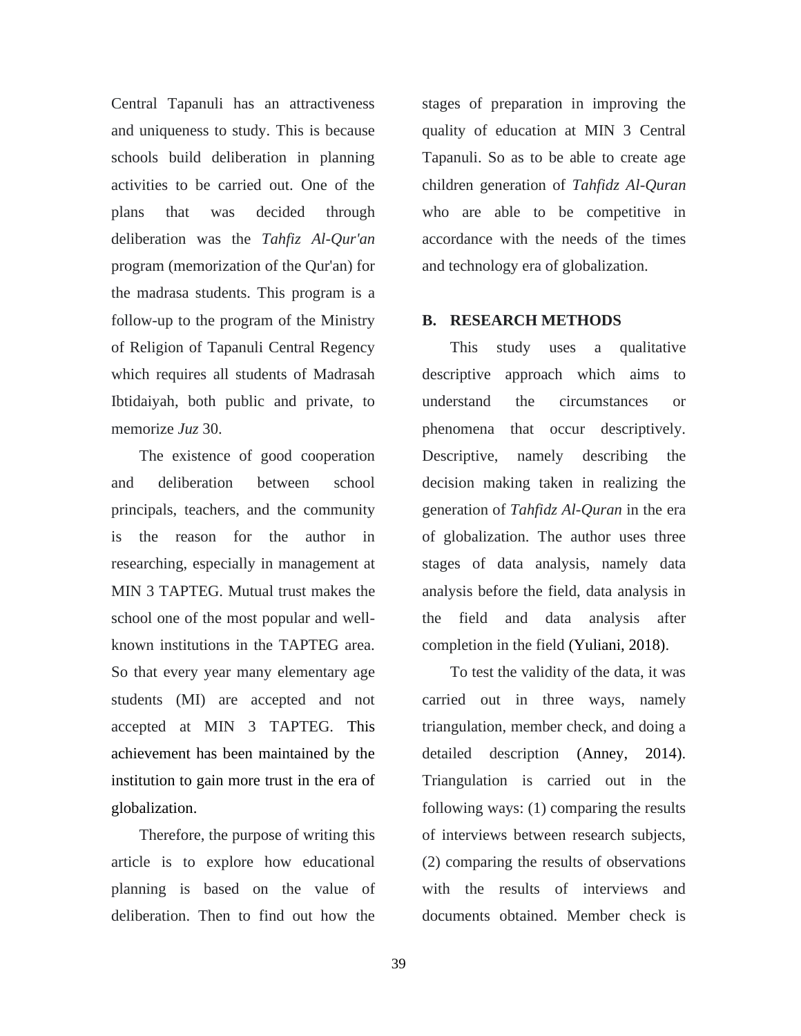Central Tapanuli has an attractiveness and uniqueness to study. This is because schools build deliberation in planning activities to be carried out. One of the plans that was decided through deliberation was the *Tahfiz Al-Qur'an* program (memorization of the Qur'an) for the madrasa students. This program is a follow-up to the program of the Ministry of Religion of Tapanuli Central Regency which requires all students of Madrasah Ibtidaiyah, both public and private, to memorize *Juz* 30.

The existence of good cooperation and deliberation between school principals, teachers, and the community is the reason for the author in researching, especially in management at MIN 3 TAPTEG. Mutual trust makes the school one of the most popular and wellknown institutions in the TAPTEG area. So that every year many elementary age students (MI) are accepted and not accepted at MIN 3 TAPTEG. This achievement has been maintained by the institution to gain more trust in the era of globalization.

Therefore, the purpose of writing this article is to explore how educational planning is based on the value of deliberation. Then to find out how the

stages of preparation in improving the quality of education at MIN 3 Central Tapanuli. So as to be able to create age children generation of *Tahfidz Al-Quran* who are able to be competitive in accordance with the needs of the times and technology era of globalization.

#### **B. RESEARCH METHODS**

This study uses a qualitative descriptive approach which aims to understand the circumstances or phenomena that occur descriptively. Descriptive, namely describing the decision making taken in realizing the generation of *Tahfidz Al-Quran* in the era of globalization. The author uses three stages of data analysis, namely data analysis before the field, data analysis in the field and data analysis after completion in the field (Yuliani, 2018).

To test the validity of the data, it was carried out in three ways, namely triangulation, member check, and doing a detailed description (Anney, 2014). Triangulation is carried out in the following ways: (1) comparing the results of interviews between research subjects, (2) comparing the results of observations with the results of interviews and documents obtained. Member check is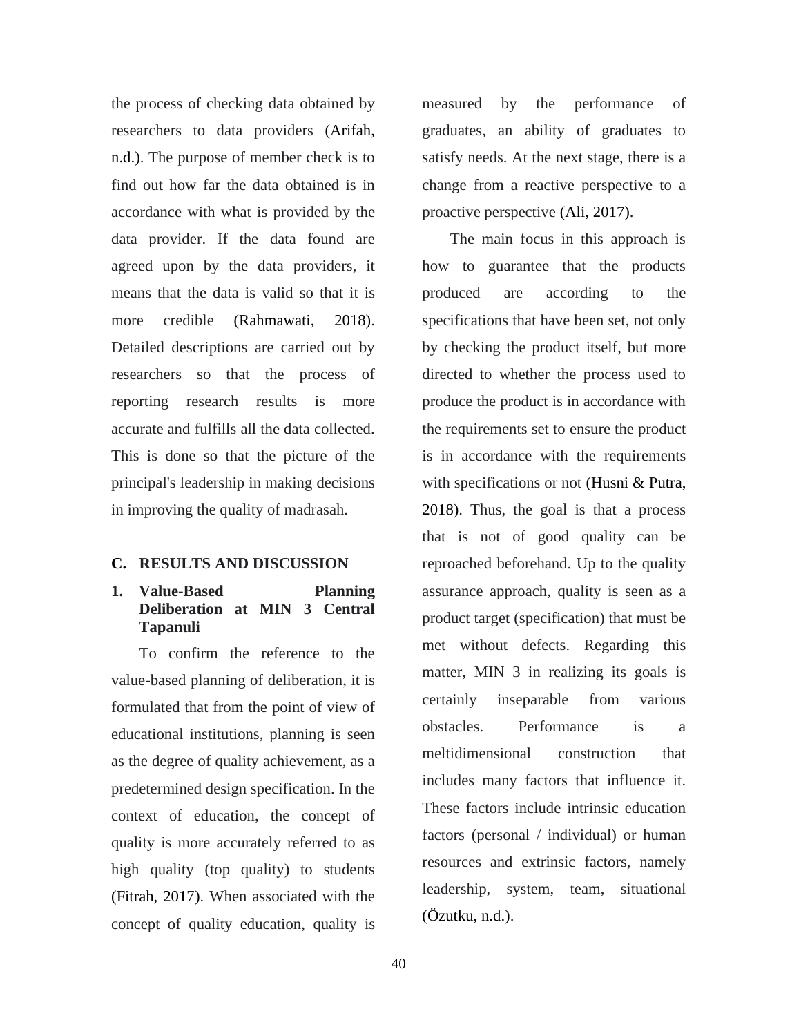the process of checking data obtained by researchers to data providers (Arifah, n.d.). The purpose of member check is to find out how far the data obtained is in accordance with what is provided by the data provider. If the data found are agreed upon by the data providers, it means that the data is valid so that it is more credible (Rahmawati, 2018). Detailed descriptions are carried out by researchers so that the process of reporting research results is more accurate and fulfills all the data collected. This is done so that the picture of the principal's leadership in making decisions in improving the quality of madrasah.

#### **C. RESULTS AND DISCUSSION**

## **1. Value-Based Planning Deliberation at MIN 3 Central Tapanuli**

To confirm the reference to the value-based planning of deliberation, it is formulated that from the point of view of educational institutions, planning is seen as the degree of quality achievement, as a predetermined design specification. In the context of education, the concept of quality is more accurately referred to as high quality (top quality) to students (Fitrah, 2017). When associated with the concept of quality education, quality is

measured by the performance of graduates, an ability of graduates to satisfy needs. At the next stage, there is a change from a reactive perspective to a proactive perspective (Ali, 2017).

The main focus in this approach is how to guarantee that the products produced are according to the specifications that have been set, not only by checking the product itself, but more directed to whether the process used to produce the product is in accordance with the requirements set to ensure the product is in accordance with the requirements with specifications or not (Husni & Putra, 2018). Thus, the goal is that a process that is not of good quality can be reproached beforehand. Up to the quality assurance approach, quality is seen as a product target (specification) that must be met without defects. Regarding this matter, MIN 3 in realizing its goals is certainly inseparable from various obstacles. Performance is a meltidimensional construction that includes many factors that influence it. These factors include intrinsic education factors (personal / individual) or human resources and extrinsic factors, namely leadership, system, team, situational (Özutku, n.d.).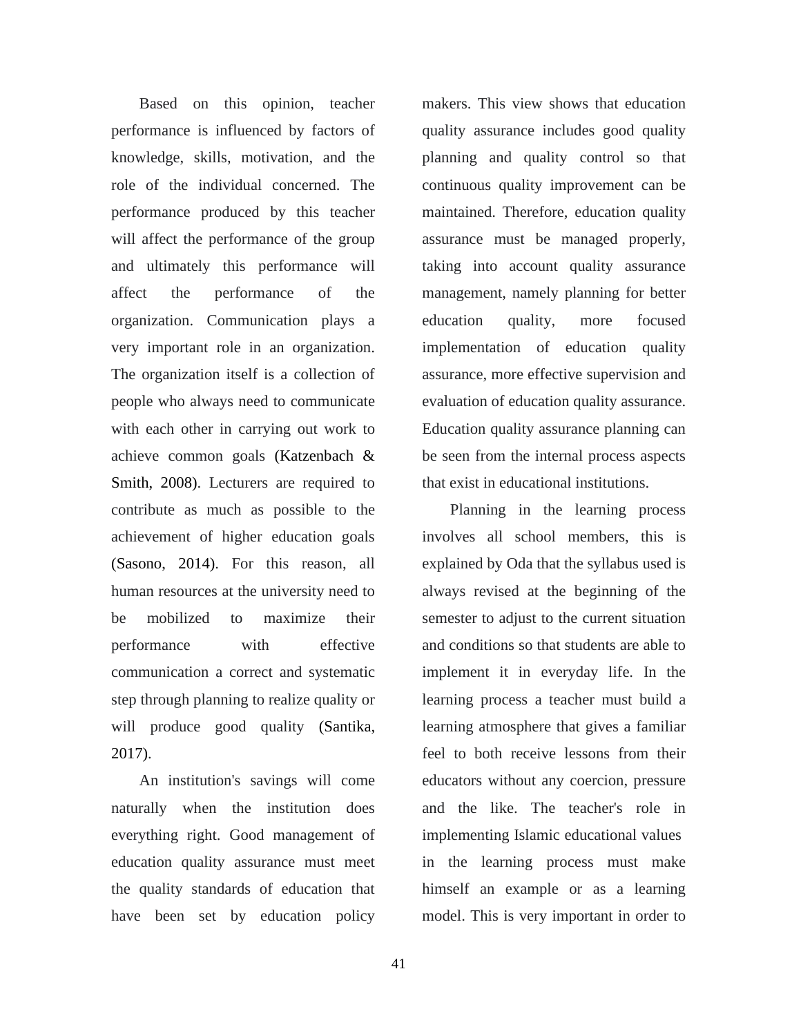Based on this opinion, teacher performance is influenced by factors of knowledge, skills, motivation, and the role of the individual concerned. The performance produced by this teacher will affect the performance of the group and ultimately this performance will affect the performance of the organization. Communication plays a very important role in an organization. The organization itself is a collection of people who always need to communicate with each other in carrying out work to achieve common goals (Katzenbach & Smith, 2008). Lecturers are required to contribute as much as possible to the achievement of higher education goals (Sasono, 2014). For this reason, all human resources at the university need to be mobilized to maximize their performance with effective communication a correct and systematic step through planning to realize quality or will produce good quality (Santika, 2017).

An institution's savings will come naturally when the institution does everything right. Good management of education quality assurance must meet the quality standards of education that have been set by education policy

makers. This view shows that education quality assurance includes good quality planning and quality control so that continuous quality improvement can be maintained. Therefore, education quality assurance must be managed properly, taking into account quality assurance management, namely planning for better education quality, more focused implementation of education quality assurance, more effective supervision and evaluation of education quality assurance. Education quality assurance planning can be seen from the internal process aspects that exist in educational institutions.

Planning in the learning process involves all school members, this is explained by Oda that the syllabus used is always revised at the beginning of the semester to adjust to the current situation and conditions so that students are able to implement it in everyday life. In the learning process a teacher must build a learning atmosphere that gives a familiar feel to both receive lessons from their educators without any coercion, pressure and the like. The teacher's role in implementing Islamic educational values in the learning process must make himself an example or as a learning model. This is very important in order to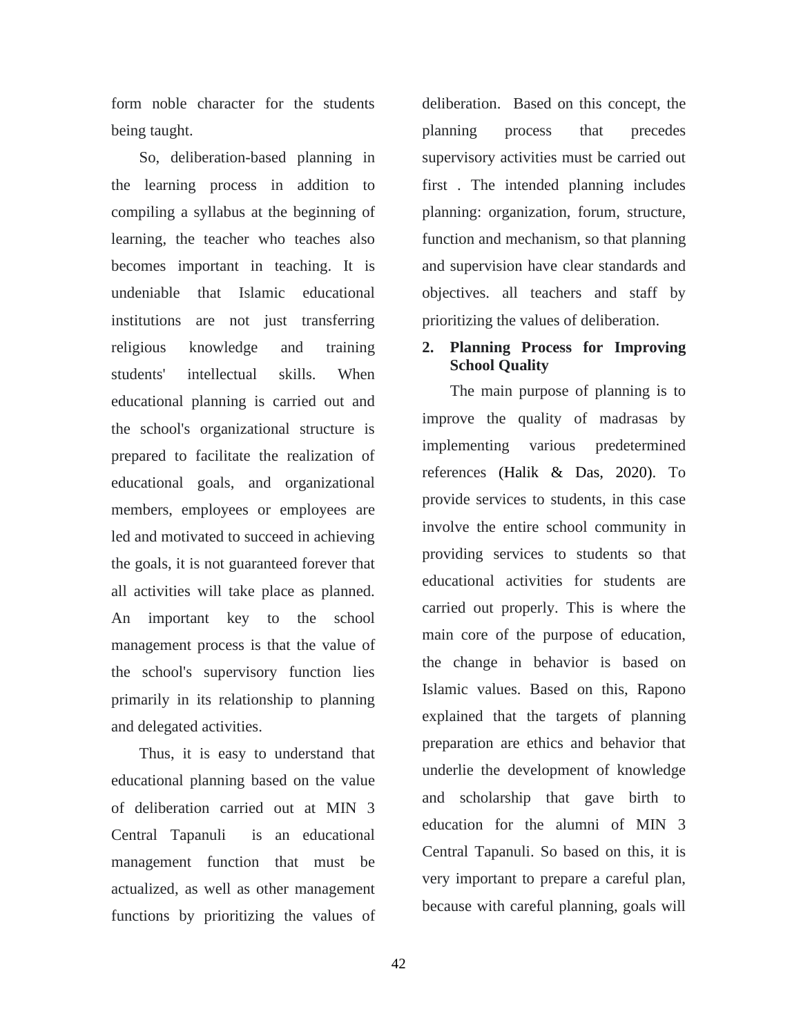form noble character for the students being taught.

So, deliberation-based planning in the learning process in addition to compiling a syllabus at the beginning of learning, the teacher who teaches also becomes important in teaching. It is undeniable that Islamic educational institutions are not just transferring religious knowledge and training students' intellectual skills. When educational planning is carried out and the school's organizational structure is prepared to facilitate the realization of educational goals, and organizational members, employees or employees are led and motivated to succeed in achieving the goals, it is not guaranteed forever that all activities will take place as planned. An important key to the school management process is that the value of the school's supervisory function lies primarily in its relationship to planning and delegated activities.

Thus, it is easy to understand that educational planning based on the value of deliberation carried out at MIN 3 Central Tapanuli is an educational management function that must be actualized, as well as other management functions by prioritizing the values of deliberation. Based on this concept, the planning process that precedes supervisory activities must be carried out first . The intended planning includes planning: organization, forum, structure, function and mechanism, so that planning and supervision have clear standards and objectives. all teachers and staff by prioritizing the values of deliberation.

## **2. Planning Process for Improving School Quality**

The main purpose of planning is to improve the quality of madrasas by implementing various predetermined references (Halik & Das, 2020). To provide services to students, in this case involve the entire school community in providing services to students so that educational activities for students are carried out properly. This is where the main core of the purpose of education, the change in behavior is based on Islamic values. Based on this, Rapono explained that the targets of planning preparation are ethics and behavior that underlie the development of knowledge and scholarship that gave birth to education for the alumni of MIN 3 Central Tapanuli. So based on this, it is very important to prepare a careful plan, because with careful planning, goals will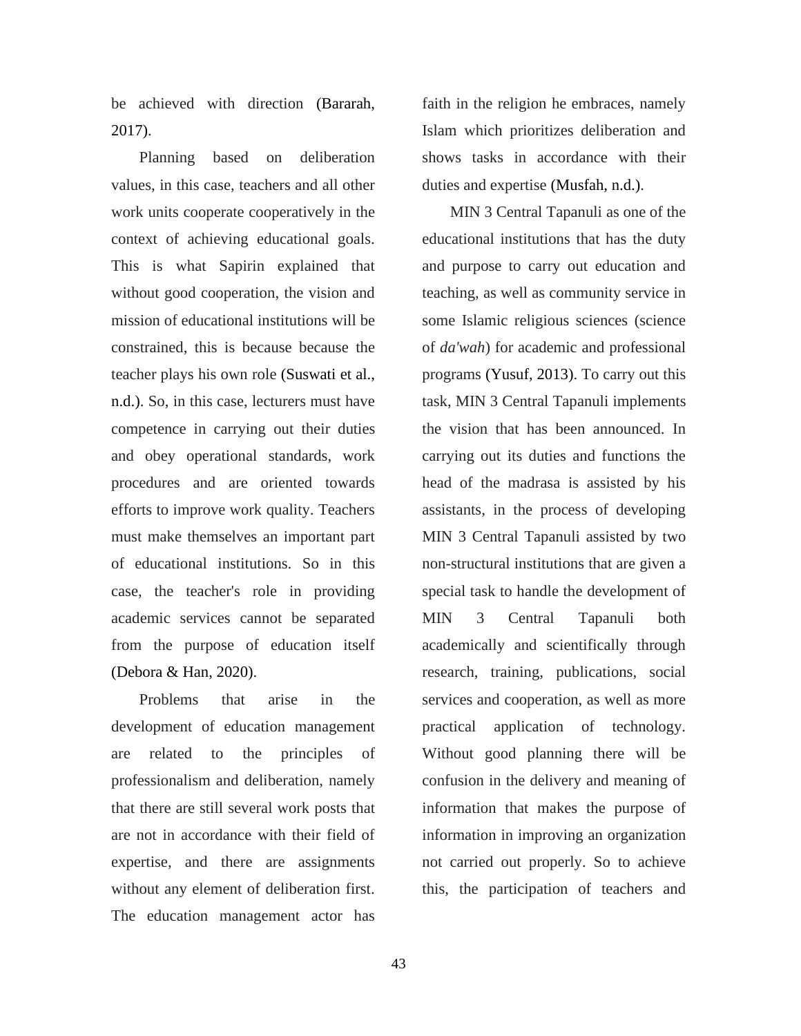be achieved with direction (Bararah, 2017).

Planning based on deliberation values, in this case, teachers and all other work units cooperate cooperatively in the context of achieving educational goals. This is what Sapirin explained that without good cooperation, the vision and mission of educational institutions will be constrained, this is because because the teacher plays his own role (Suswati et al., n.d.). So, in this case, lecturers must have competence in carrying out their duties and obey operational standards, work procedures and are oriented towards efforts to improve work quality. Teachers must make themselves an important part of educational institutions. So in this case, the teacher's role in providing academic services cannot be separated from the purpose of education itself (Debora & Han, 2020).

Problems that arise in the development of education management are related to the principles of professionalism and deliberation, namely that there are still several work posts that are not in accordance with their field of expertise, and there are assignments without any element of deliberation first. The education management actor has faith in the religion he embraces, namely Islam which prioritizes deliberation and shows tasks in accordance with their duties and expertise (Musfah, n.d.).

MIN 3 Central Tapanuli as one of the educational institutions that has the duty and purpose to carry out education and teaching, as well as community service in some Islamic religious sciences (science of *da'wah*) for academic and professional programs (Yusuf, 2013). To carry out this task, MIN 3 Central Tapanuli implements the vision that has been announced. In carrying out its duties and functions the head of the madrasa is assisted by his assistants, in the process of developing MIN 3 Central Tapanuli assisted by two non-structural institutions that are given a special task to handle the development of MIN 3 Central Tapanuli both academically and scientifically through research, training, publications, social services and cooperation, as well as more practical application of technology. Without good planning there will be confusion in the delivery and meaning of information that makes the purpose of information in improving an organization not carried out properly. So to achieve this, the participation of teachers and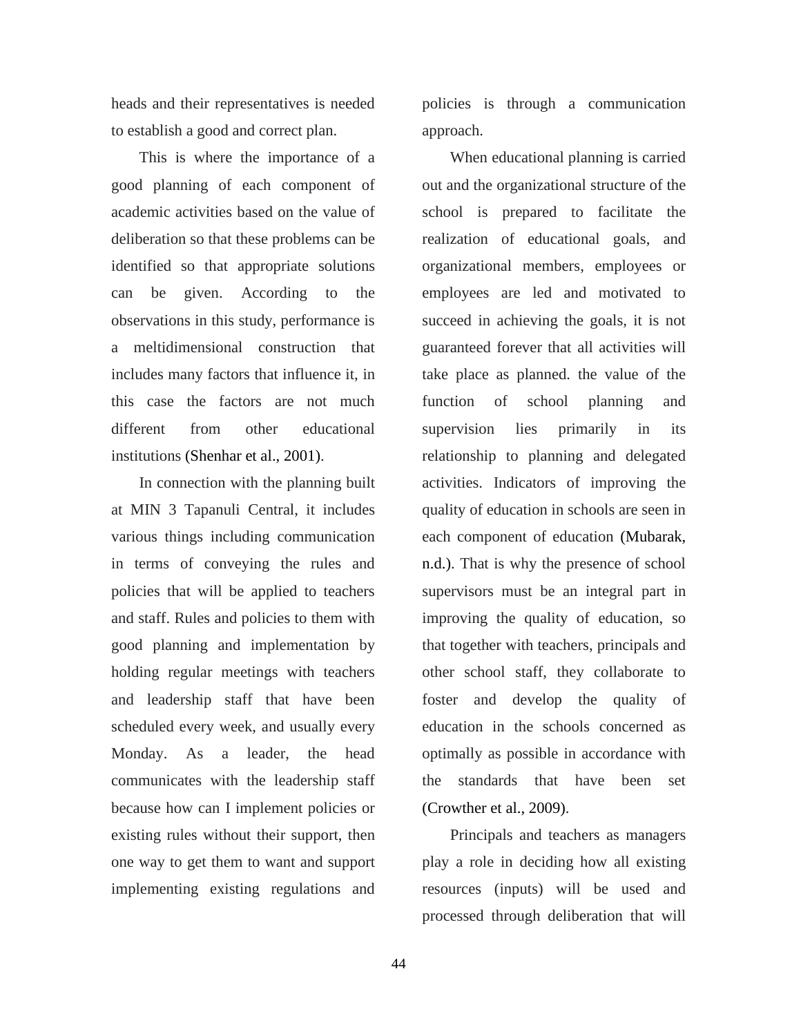heads and their representatives is needed to establish a good and correct plan.

This is where the importance of a good planning of each component of academic activities based on the value of deliberation so that these problems can be identified so that appropriate solutions can be given. According to the observations in this study, performance is a meltidimensional construction that includes many factors that influence it, in this case the factors are not much different from other educational institutions (Shenhar et al., 2001).

In connection with the planning built at MIN 3 Tapanuli Central, it includes various things including communication in terms of conveying the rules and policies that will be applied to teachers and staff. Rules and policies to them with good planning and implementation by holding regular meetings with teachers and leadership staff that have been scheduled every week, and usually every Monday. As a leader, the head communicates with the leadership staff because how can I implement policies or existing rules without their support, then one way to get them to want and support implementing existing regulations and

policies is through a communication approach.

When educational planning is carried out and the organizational structure of the school is prepared to facilitate the realization of educational goals, and organizational members, employees or employees are led and motivated to succeed in achieving the goals, it is not guaranteed forever that all activities will take place as planned. the value of the function of school planning and supervision lies primarily in its relationship to planning and delegated activities. Indicators of improving the quality of education in schools are seen in each component of education (Mubarak, n.d.). That is why the presence of school supervisors must be an integral part in improving the quality of education, so that together with teachers, principals and other school staff, they collaborate to foster and develop the quality of education in the schools concerned as optimally as possible in accordance with the standards that have been set (Crowther et al., 2009).

Principals and teachers as managers play a role in deciding how all existing resources (inputs) will be used and processed through deliberation that will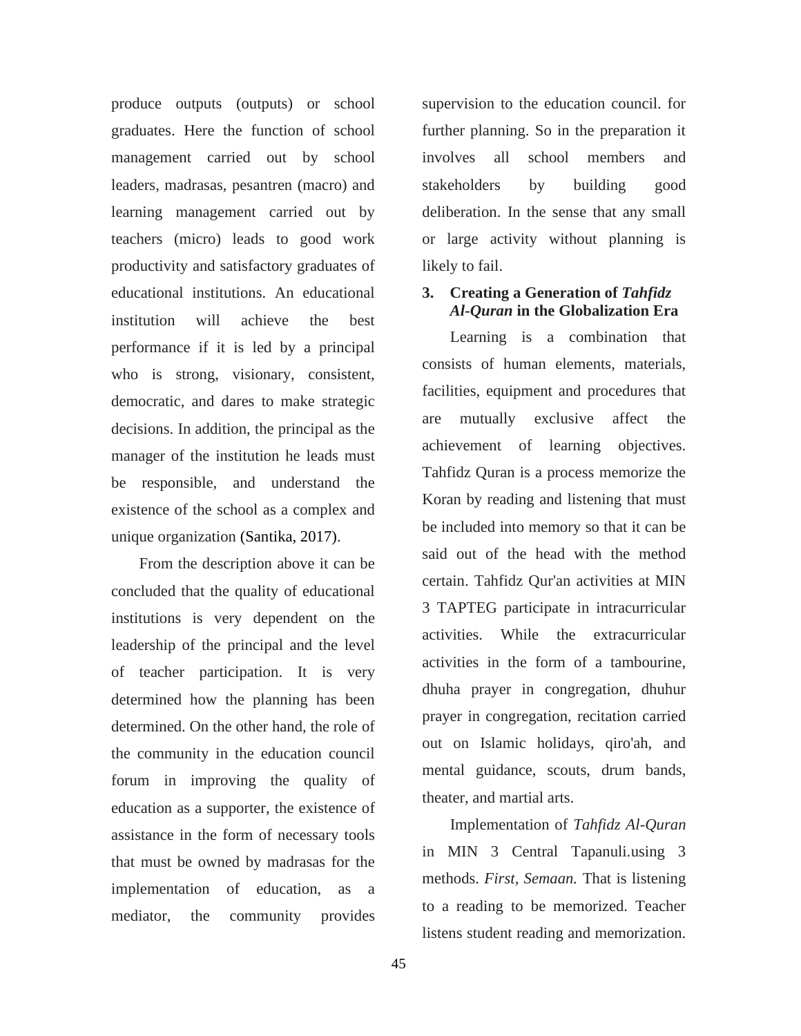produce outputs (outputs) or school graduates. Here the function of school management carried out by school leaders, madrasas, pesantren (macro) and learning management carried out by teachers (micro) leads to good work productivity and satisfactory graduates of educational institutions. An educational institution will achieve the best performance if it is led by a principal who is strong, visionary, consistent, democratic, and dares to make strategic decisions. In addition, the principal as the manager of the institution he leads must be responsible, and understand the existence of the school as a complex and unique organization (Santika, 2017).

From the description above it can be concluded that the quality of educational institutions is very dependent on the leadership of the principal and the level of teacher participation. It is very determined how the planning has been determined. On the other hand, the role of the community in the education council forum in improving the quality of education as a supporter, the existence of assistance in the form of necessary tools that must be owned by madrasas for the implementation of education, as a mediator, the community provides

supervision to the education council. for further planning. So in the preparation it involves all school members and stakeholders by building good deliberation. In the sense that any small or large activity without planning is likely to fail.

#### **3. Creating a Generation of** *Tahfidz Al-Quran* **in the Globalization Era**

Learning is a combination that consists of human elements, materials, facilities, equipment and procedures that are mutually exclusive affect the achievement of learning objectives. Tahfidz Quran is a process memorize the Koran by reading and listening that must be included into memory so that it can be said out of the head with the method certain. Tahfidz Qur'an activities at MIN 3 TAPTEG participate in intracurricular activities. While the extracurricular activities in the form of a tambourine, dhuha prayer in congregation, dhuhur prayer in congregation, recitation carried out on Islamic holidays, qiro'ah, and mental guidance, scouts, drum bands, theater, and martial arts.

Implementation of *Tahfidz Al-Quran*  in MIN 3 Central Tapanuli*.*using 3 methods. *First, Semaan.* That is listening to a reading to be memorized. Teacher listens student reading and memorization.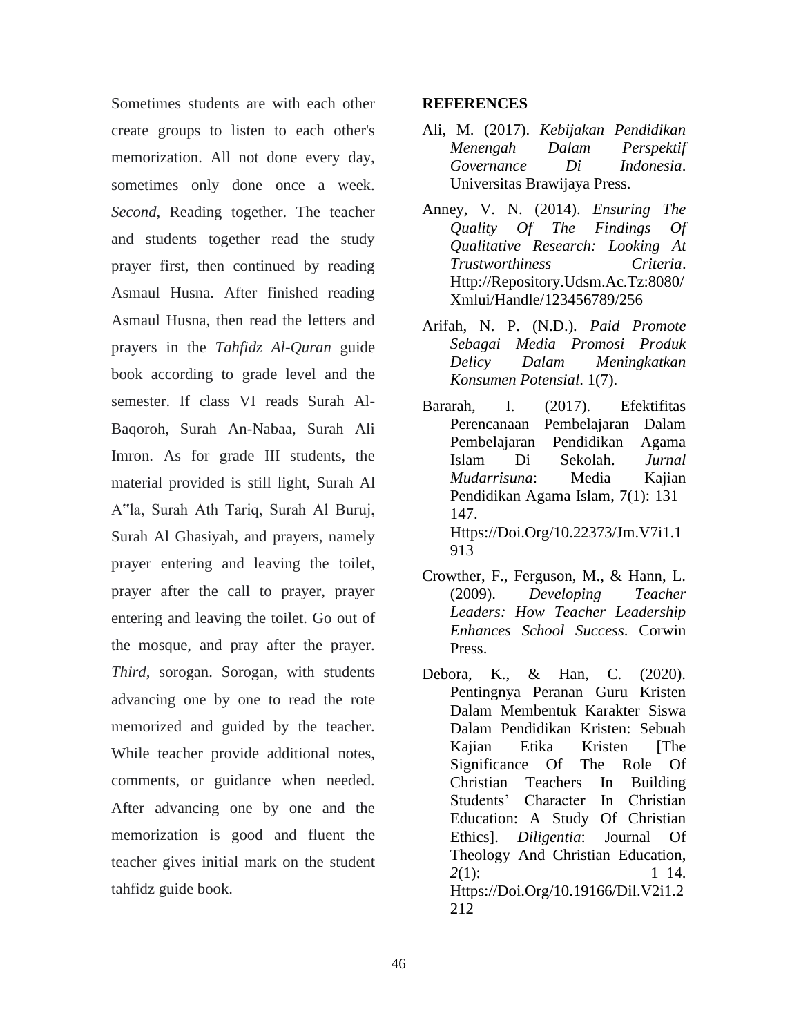Sometimes students are with each other create groups to listen to each other's memorization. All not done every day, sometimes only done once a week. *Second,* Reading together. The teacher and students together read the study prayer first, then continued by reading Asmaul Husna. After finished reading Asmaul Husna, then read the letters and prayers in the *Tahfidz Al-Quran* guide book according to grade level and the semester. If class VI reads Surah Al-Baqoroh, Surah An-Nabaa, Surah Ali Imron. As for grade III students, the material provided is still light, Surah Al A"la, Surah Ath Tariq, Surah Al Buruj, Surah Al Ghasiyah, and prayers, namely prayer entering and leaving the toilet, prayer after the call to prayer, prayer entering and leaving the toilet. Go out of the mosque, and pray after the prayer. *Third,* sorogan. Sorogan, with students advancing one by one to read the rote memorized and guided by the teacher. While teacher provide additional notes, comments, or guidance when needed. After advancing one by one and the memorization is good and fluent the teacher gives initial mark on the student tahfidz guide book.

### **REFERENCES**

- Ali, M. (2017). *Kebijakan Pendidikan Menengah Dalam Perspektif Governance Di Indonesia*. Universitas Brawijaya Press.
- Anney, V. N. (2014). *Ensuring The Quality Of The Findings Of Qualitative Research: Looking At Trustworthiness Criteria*. Http://Repository.Udsm.Ac.Tz:8080/ Xmlui/Handle/123456789/256
- Arifah, N. P. (N.D.). *Paid Promote Sebagai Media Promosi Produk Delicy Dalam Meningkatkan Konsumen Potensial*. 1(7).
- Bararah, I. (2017). Efektifitas Perencanaan Pembelajaran Dalam Pembelajaran Pendidikan Agama Islam Di Sekolah. *Jurnal Mudarrisuna*: Media Kajian Pendidikan Agama Islam, 7(1): 131– 147. Https://Doi.Org/10.22373/Jm.V7i1.1 913
- Crowther, F., Ferguson, M., & Hann, L. (2009). *Developing Teacher Leaders: How Teacher Leadership Enhances School Success*. Corwin Press.
- Debora, K., & Han, C. (2020). Pentingnya Peranan Guru Kristen Dalam Membentuk Karakter Siswa Dalam Pendidikan Kristen: Sebuah Kajian Etika Kristen [The Significance Of The Role Of Christian Teachers In Building Students' Character In Christian Education: A Study Of Christian Ethics]. *Diligentia*: Journal Of Theology And Christian Education, *2*(1): 1–14. Https://Doi.Org/10.19166/Dil.V2i1.2 212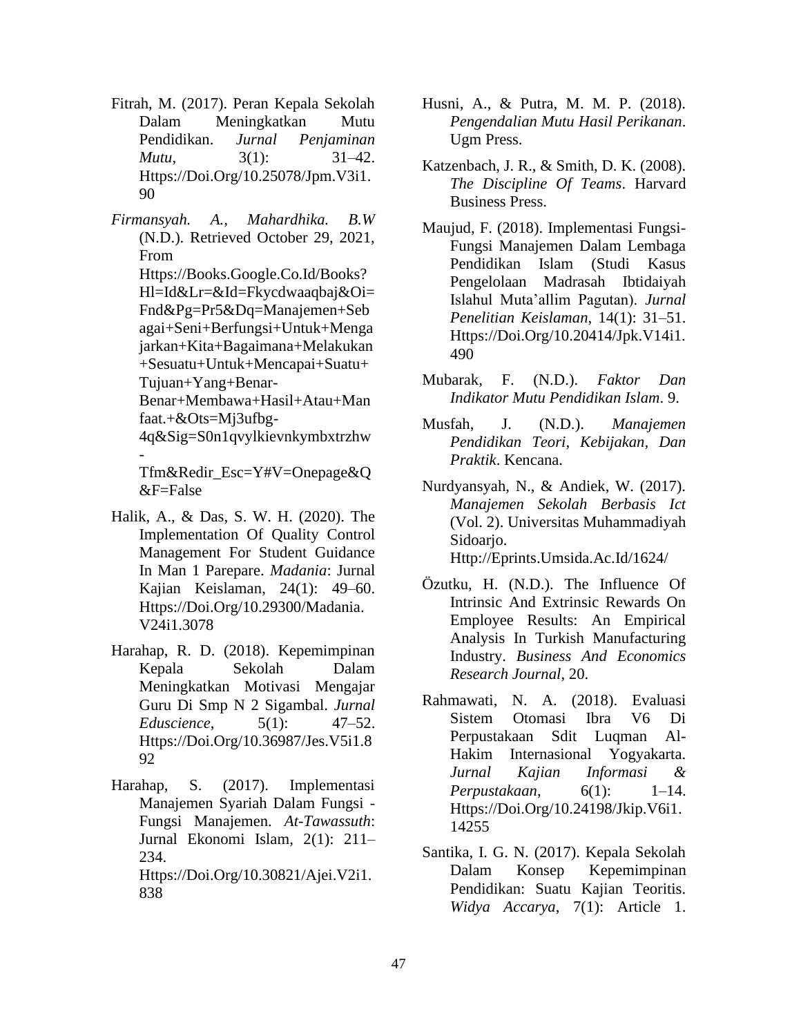- Fitrah, M. (2017). Peran Kepala Sekolah Dalam Meningkatkan Mutu Pendidikan. *Jurnal Penjaminan Mutu*,  $3(1)$ :  $31-42$ . Https://Doi.Org/10.25078/Jpm.V3i1. 90
- *Firmansyah. A., Mahardhika. B.W*  (N.D.). Retrieved October 29, 2021, From Https://Books.Google.Co.Id/Books? Hl=Id&Lr=&Id=Fkycdwaaqbaj&Oi= Fnd&Pg=Pr5&Dq=Manajemen+Seb agai+Seni+Berfungsi+Untuk+Menga jarkan+Kita+Bagaimana+Melakukan +Sesuatu+Untuk+Mencapai+Suatu+ Tujuan+Yang+Benar-Benar+Membawa+Hasil+Atau+Man faat.+&Ots=Mj3ufbg-4q&Sig=S0n1qvylkievnkymbxtrzhw

-

Tfm&Redir\_Esc=Y#V=Onepage&Q &F=False

- Halik, A., & Das, S. W. H. (2020). The Implementation Of Quality Control Management For Student Guidance In Man 1 Parepare. *Madania*: Jurnal Kajian Keislaman, 24(1): 49–60. Https://Doi.Org/10.29300/Madania. V24i1.3078
- Harahap, R. D. (2018). Kepemimpinan Kepala Sekolah Dalam Meningkatkan Motivasi Mengajar Guru Di Smp N 2 Sigambal. *Jurnal Eduscience*, 5(1): 47–52. Https://Doi.Org/10.36987/Jes.V5i1.8 92
- Harahap, S. (2017). Implementasi Manajemen Syariah Dalam Fungsi - Fungsi Manajemen. *At-Tawassuth*: Jurnal Ekonomi Islam, 2(1): 211– 234. Https://Doi.Org/10.30821/Ajei.V2i1. 838
- Husni, A., & Putra, M. M. P. (2018). *Pengendalian Mutu Hasil Perikanan*. Ugm Press.
- Katzenbach, J. R., & Smith, D. K. (2008). *The Discipline Of Teams*. Harvard Business Press.
- Maujud, F. (2018). Implementasi Fungsi-Fungsi Manajemen Dalam Lembaga Pendidikan Islam (Studi Kasus Pengelolaan Madrasah Ibtidaiyah Islahul Muta'allim Pagutan). *Jurnal Penelitian Keislaman*, 14(1): 31–51. Https://Doi.Org/10.20414/Jpk.V14i1. 490
- Mubarak, F. (N.D.). *Faktor Dan Indikator Mutu Pendidikan Islam*. 9.
- Musfah, J. (N.D.). *Manajemen Pendidikan Teori, Kebijakan, Dan Praktik*. Kencana.
- Nurdyansyah, N., & Andiek, W. (2017). *Manajemen Sekolah Berbasis Ict* (Vol. 2). Universitas Muhammadiyah Sidoarjo. Http://Eprints.Umsida.Ac.Id/1624/
- Özutku, H. (N.D.). The Influence Of Intrinsic And Extrinsic Rewards On Employee Results: An Empirical Analysis In Turkish Manufacturing Industry. *Business And Economics Research Journal*, 20.
- Rahmawati, N. A. (2018). Evaluasi Sistem Otomasi Ibra V6 Di Perpustakaan Sdit Luqman Al-Hakim Internasional Yogyakarta. *Jurnal Kajian Informasi & Perpustakaan*, 6(1): 1–14. Https://Doi.Org/10.24198/Jkip.V6i1. 14255
- Santika, I. G. N. (2017). Kepala Sekolah Dalam Konsep Kepemimpinan Pendidikan: Suatu Kajian Teoritis. *Widya Accarya*, 7(1): Article 1.